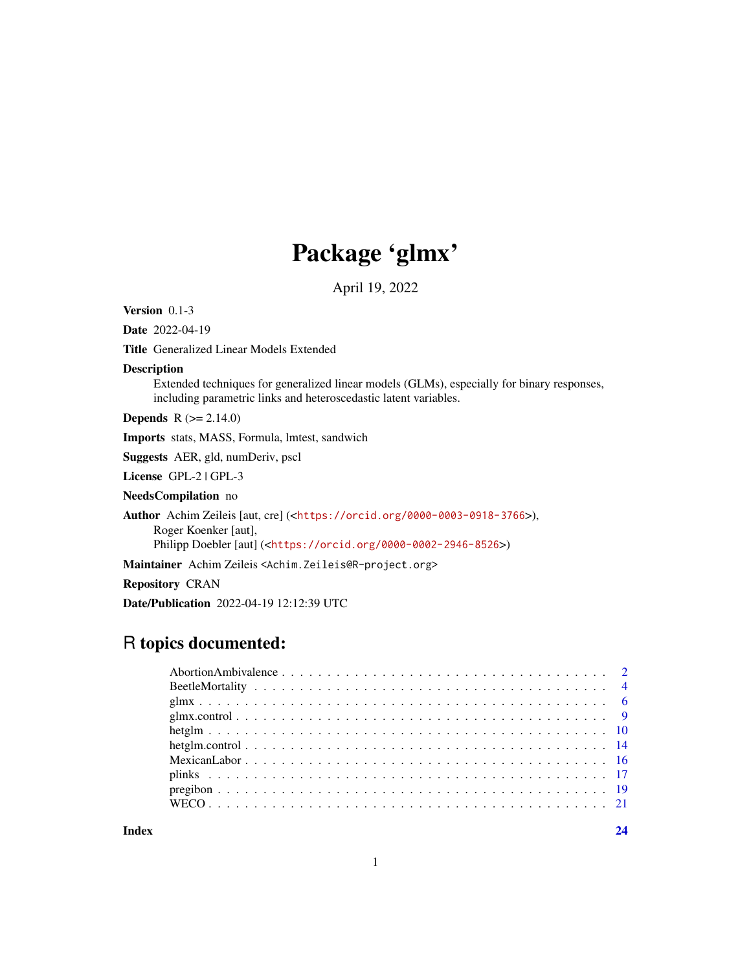# Package 'glmx'

April 19, 2022

<span id="page-0-0"></span>Version 0.1-3

Date 2022-04-19

Title Generalized Linear Models Extended

Description

Extended techniques for generalized linear models (GLMs), especially for binary responses, including parametric links and heteroscedastic latent variables.

**Depends** R  $(>= 2.14.0)$ 

Imports stats, MASS, Formula, lmtest, sandwich

Suggests AER, gld, numDeriv, pscl

License GPL-2 | GPL-3

NeedsCompilation no

Author Achim Zeileis [aut, cre] (<<https://orcid.org/0000-0003-0918-3766>>),

Roger Koenker [aut],

Philipp Doebler [aut] (<<https://orcid.org/0000-0002-2946-8526>>)

Maintainer Achim Zeileis <Achim.Zeileis@R-project.org>

Repository CRAN

Date/Publication 2022-04-19 12:12:39 UTC

# R topics documented:

**Index** [24](#page-23-0)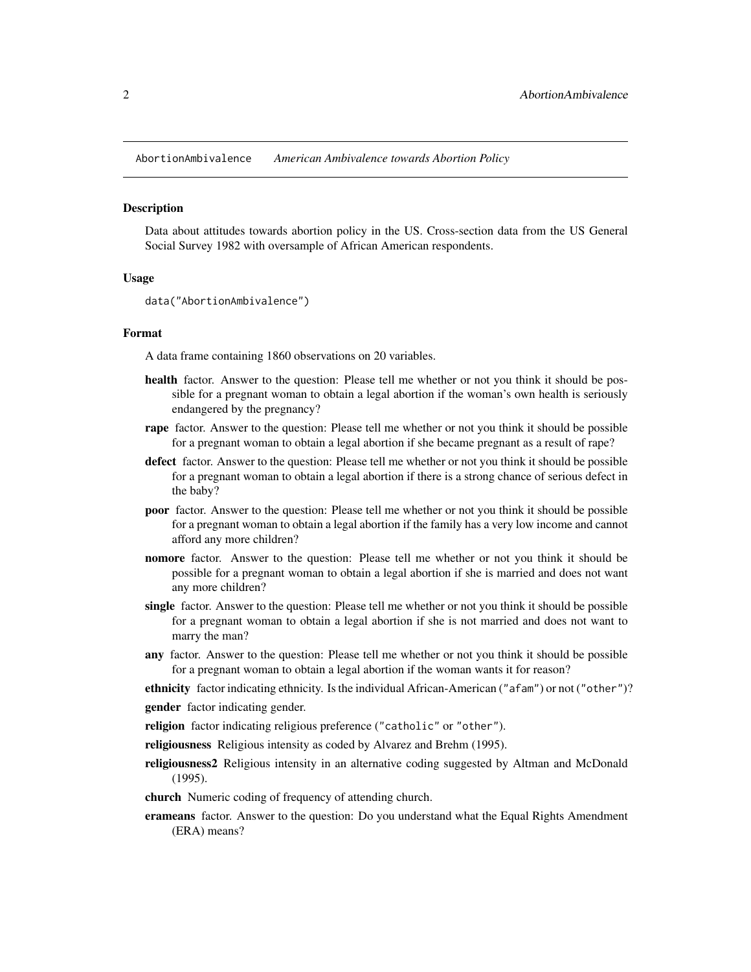<span id="page-1-0"></span>AbortionAmbivalence *American Ambivalence towards Abortion Policy*

#### **Description**

Data about attitudes towards abortion policy in the US. Cross-section data from the US General Social Survey 1982 with oversample of African American respondents.

#### Usage

```
data("AbortionAmbivalence")
```
#### Format

A data frame containing 1860 observations on 20 variables.

- health factor. Answer to the question: Please tell me whether or not you think it should be possible for a pregnant woman to obtain a legal abortion if the woman's own health is seriously endangered by the pregnancy?
- **rape** factor. Answer to the question: Please tell me whether or not you think it should be possible for a pregnant woman to obtain a legal abortion if she became pregnant as a result of rape?
- defect factor. Answer to the question: Please tell me whether or not you think it should be possible for a pregnant woman to obtain a legal abortion if there is a strong chance of serious defect in the baby?
- poor factor. Answer to the question: Please tell me whether or not you think it should be possible for a pregnant woman to obtain a legal abortion if the family has a very low income and cannot afford any more children?
- nomore factor. Answer to the question: Please tell me whether or not you think it should be possible for a pregnant woman to obtain a legal abortion if she is married and does not want any more children?
- single factor. Answer to the question: Please tell me whether or not you think it should be possible for a pregnant woman to obtain a legal abortion if she is not married and does not want to marry the man?
- any factor. Answer to the question: Please tell me whether or not you think it should be possible for a pregnant woman to obtain a legal abortion if the woman wants it for reason?
- ethnicity factor indicating ethnicity. Is the individual African-American ("afam") or not ("other")?
- gender factor indicating gender.
- religion factor indicating religious preference ("catholic" or "other").
- religiousness Religious intensity as coded by Alvarez and Brehm (1995).
- religiousness2 Religious intensity in an alternative coding suggested by Altman and McDonald (1995).
- church Numeric coding of frequency of attending church.
- erameans factor. Answer to the question: Do you understand what the Equal Rights Amendment (ERA) means?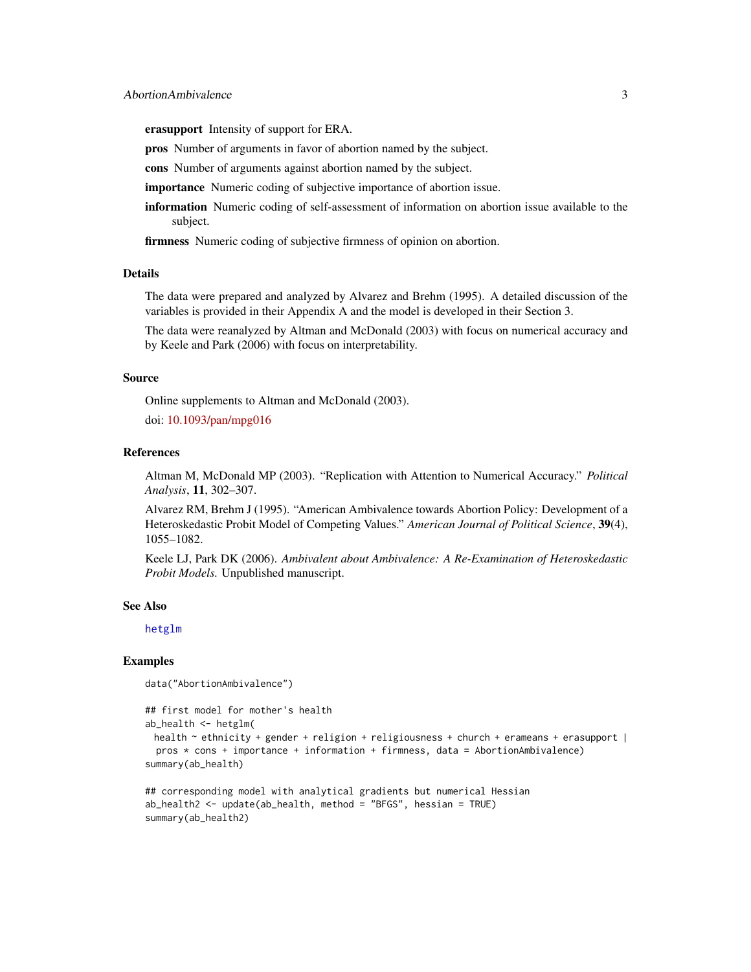<span id="page-2-0"></span>erasupport Intensity of support for ERA.

pros Number of arguments in favor of abortion named by the subject.

cons Number of arguments against abortion named by the subject.

importance Numeric coding of subjective importance of abortion issue.

information Numeric coding of self-assessment of information on abortion issue available to the subject.

firmness Numeric coding of subjective firmness of opinion on abortion.

### **Details**

The data were prepared and analyzed by Alvarez and Brehm (1995). A detailed discussion of the variables is provided in their Appendix A and the model is developed in their Section 3.

The data were reanalyzed by Altman and McDonald (2003) with focus on numerical accuracy and by Keele and Park (2006) with focus on interpretability.

#### Source

Online supplements to Altman and McDonald (2003). doi: [10.1093/pan/mpg016](https://doi.org/10.1093/pan/mpg016)

#### References

Altman M, McDonald MP (2003). "Replication with Attention to Numerical Accuracy." *Political Analysis*, 11, 302–307.

Alvarez RM, Brehm J (1995). "American Ambivalence towards Abortion Policy: Development of a Heteroskedastic Probit Model of Competing Values." *American Journal of Political Science*, 39(4), 1055–1082.

Keele LJ, Park DK (2006). *Ambivalent about Ambivalence: A Re-Examination of Heteroskedastic Probit Models.* Unpublished manuscript.

### See Also

[hetglm](#page-9-1)

#### Examples

```
data("AbortionAmbivalence")
```

```
## first model for mother's health
ab_health <- hetglm(
 health ~ ethnicity + gender + religion + religiousness + church + erameans + erasupport |
 pros * cons + importance + information + firmness, data = AbortionAmbivalence)
summary(ab_health)
```

```
## corresponding model with analytical gradients but numerical Hessian
ab_health2 <- update(ab_health, method = "BFGS", hessian = TRUE)
summary(ab_health2)
```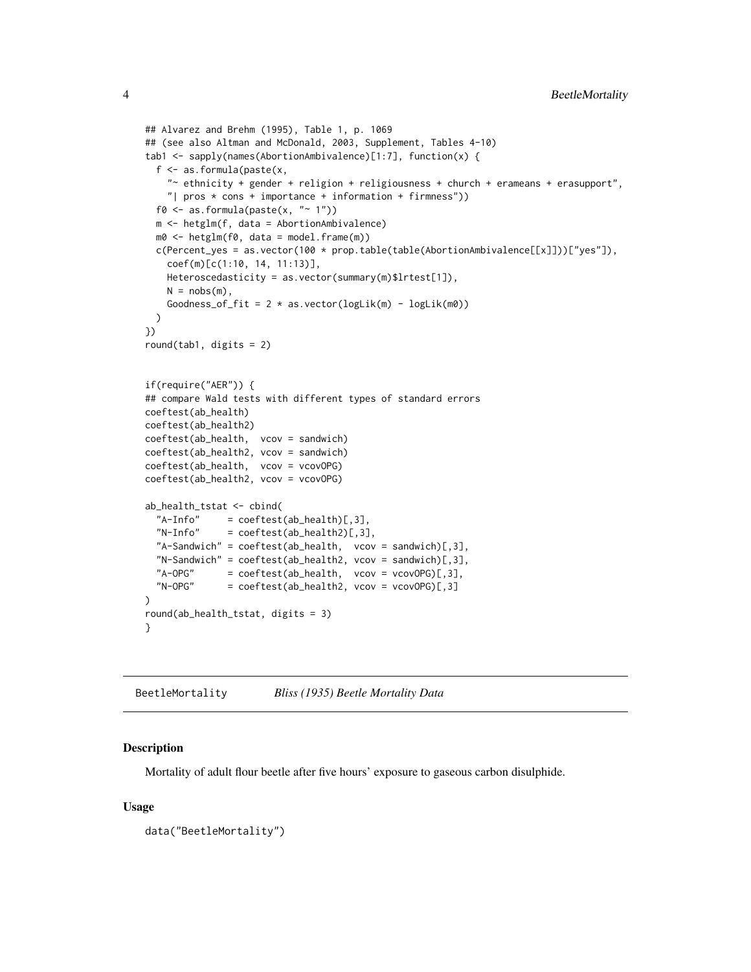```
## Alvarez and Brehm (1995), Table 1, p. 1069
## (see also Altman and McDonald, 2003, Supplement, Tables 4-10)
tab1 <- sapply(names(AbortionAmbivalence)[1:7], function(x) {
 f <- as.formula(paste(x,
    "~ ethnicity + gender + religion + religiousness + church + erameans + erasupport",
    "| pros * cons + importance + information + firmness"))
 f0 <- as.formula(paste(x, "~ 1"))
 m <- hetglm(f, data = AbortionAmbivalence)
 m0 <- hetglm(f0, data = model.frame(m))
 c(Percent_yes = as.vector(100 * prop.table(table(AbortionAmbivalence[[x]]))["yes"]),
    coef(m)[c(1:10, 14, 11:13)],
   Heteroscedasticity = as.vector(summary(m)$lrtest[1]),
   N = nobs(m),
    Goodness_of_fit = 2 * as.vector(logLik(m) - logLik(m0))
 )
})
round(tab1, digits = 2)
if(require("AER")) {
## compare Wald tests with different types of standard errors
coeftest(ab_health)
coeftest(ab_health2)
coeftest(ab_health, vcov = sandwich)
coeftest(ab_health2, vcov = sandwich)
coeftest(ab_health, vcov = vcovOPG)
coeftest(ab_health2, vcov = vcovOPG)
ab_health_tstat <- cbind(
  "A-Info" = coefficients(ab_health)[,3],"N-Info" = coeftest(ab\_health2)[,3],"A-Sandwich" = coeftest(ab_health, vcov = sandwich)[,3],
 "N-Sandwich" = coeffest(ab\_health2, vcov = sandwich)[,3],"A-OPG" = coeftest(ab\_health, vcov = vcovOPG)[,3],N-OPG'' = coeftest(ab_health2, vcov = vcovOPG)[,3]
\lambdaround(ab_health_tstat, digits = 3)
}
```
BeetleMortality *Bliss (1935) Beetle Mortality Data*

#### **Description**

Mortality of adult flour beetle after five hours' exposure to gaseous carbon disulphide.

#### Usage

```
data("BeetleMortality")
```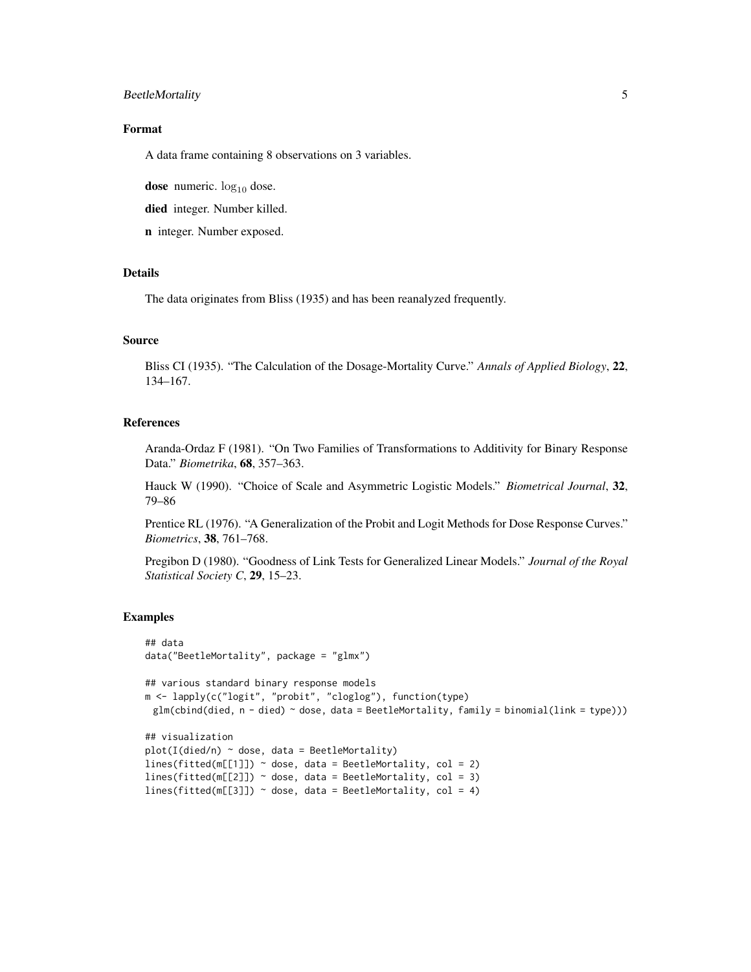# BeetleMortality 5

#### Format

A data frame containing 8 observations on 3 variables.

dose numeric.  $log_{10}$  dose.

died integer. Number killed.

n integer. Number exposed.

### **Details**

The data originates from Bliss (1935) and has been reanalyzed frequently.

#### Source

Bliss CI (1935). "The Calculation of the Dosage-Mortality Curve." *Annals of Applied Biology*, 22, 134–167.

#### References

Aranda-Ordaz F (1981). "On Two Families of Transformations to Additivity for Binary Response Data." *Biometrika*, 68, 357–363.

Hauck W (1990). "Choice of Scale and Asymmetric Logistic Models." *Biometrical Journal*, 32, 79–86

Prentice RL (1976). "A Generalization of the Probit and Logit Methods for Dose Response Curves." *Biometrics*, 38, 761–768.

Pregibon D (1980). "Goodness of Link Tests for Generalized Linear Models." *Journal of the Royal Statistical Society C*, 29, 15–23.

#### Examples

```
## data
data("BeetleMortality", package = "glmx")
## various standard binary response models
m <- lapply(c("logit", "probit", "cloglog"), function(type)
 glm(cbind(died, n - died) ~ does, data = BeetleMortality, family = binomial(link = type)))## visualization
plot(I(died/n) ~ ~ does, data = BeetleMortality)lines(fitted(m[[1]]) \sim dose, data = BeetleMortality, col = 2)
lines(fitted(m[[2]]) \sim dose, data = BeetleMortality, col = 3)
lines(fitted(m[[3]]) \sim dose, data = BeetleMortality, col = 4)
```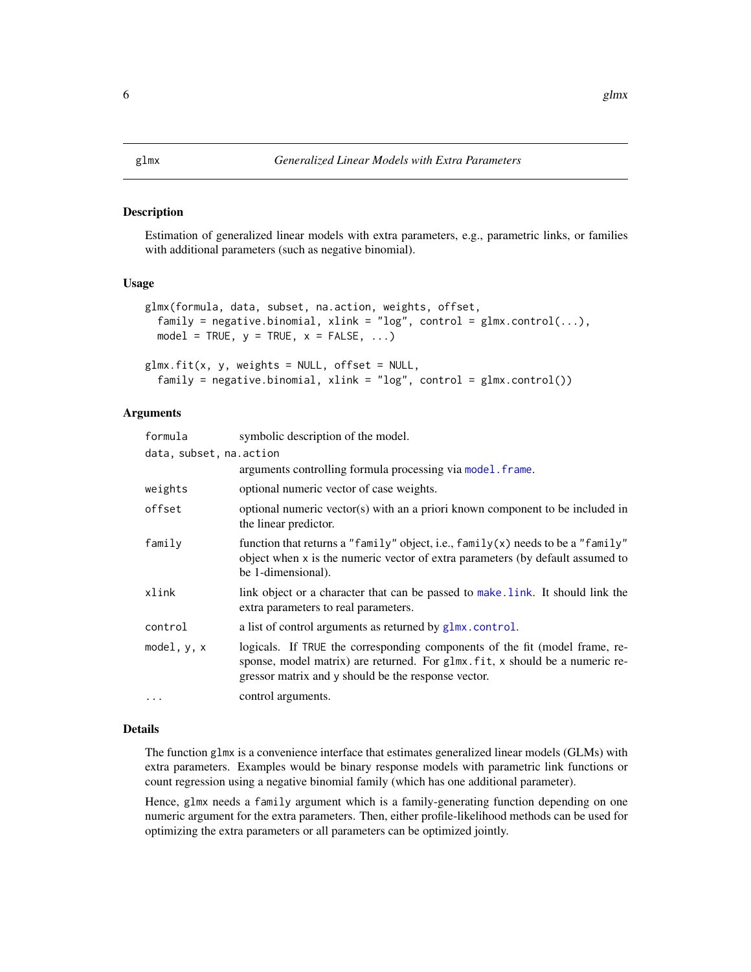#### <span id="page-5-1"></span><span id="page-5-0"></span>Description

Estimation of generalized linear models with extra parameters, e.g., parametric links, or families with additional parameters (such as negative binomial).

#### Usage

```
glmx(formula, data, subset, na.action, weights, offset,
  family = negative.binomial, xlink = "log", control = glmx.control(...),model = TRUE, y = TRUE, x = FALSE, ...)
```

```
glmx.fit(x, y, weights = NULL, offset = NULL,family = negative.binomial, xlink = "log", control = glmx.control())
```
#### Arguments

| formula                  | symbolic description of the model.                                                                                                                                                                                 |
|--------------------------|--------------------------------------------------------------------------------------------------------------------------------------------------------------------------------------------------------------------|
| data, subset, na. action |                                                                                                                                                                                                                    |
|                          | arguments controlling formula processing via model. frame.                                                                                                                                                         |
| weights                  | optional numeric vector of case weights.                                                                                                                                                                           |
| offset                   | optional numeric vector(s) with an a priori known component to be included in<br>the linear predictor.                                                                                                             |
| family                   | function that returns a "family" object, i.e., family(x) needs to be a "family"<br>object when x is the numeric vector of extra parameters (by default assumed to<br>be 1-dimensional).                            |
| xlink                    | link object or a character that can be passed to make. Link. It should link the<br>extra parameters to real parameters.                                                                                            |
| control                  | a list of control arguments as returned by glmx.control.                                                                                                                                                           |
| model, $y$ , $x$         | logicals. If TRUE the corresponding components of the fit (model frame, re-<br>sponse, model matrix) are returned. For glmx. fit, x should be a numeric re-<br>gressor matrix and y should be the response vector. |
| $\cdot$                  | control arguments.                                                                                                                                                                                                 |

### Details

The function glmx is a convenience interface that estimates generalized linear models (GLMs) with extra parameters. Examples would be binary response models with parametric link functions or count regression using a negative binomial family (which has one additional parameter).

Hence, glmx needs a family argument which is a family-generating function depending on one numeric argument for the extra parameters. Then, either profile-likelihood methods can be used for optimizing the extra parameters or all parameters can be optimized jointly.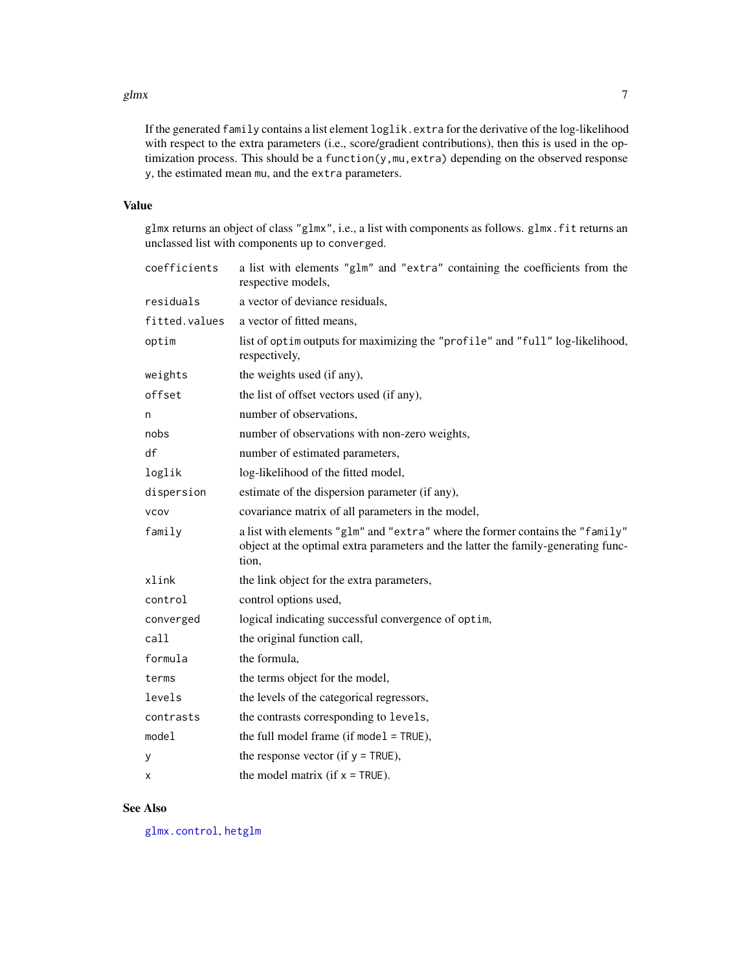#### <span id="page-6-0"></span>glmx  $\sim$  7

If the generated family contains a list element loglik.extra for the derivative of the log-likelihood with respect to the extra parameters (i.e., score/gradient contributions), then this is used in the optimization process. This should be a function(y,mu,extra) depending on the observed response y, the estimated mean mu, and the extra parameters.

# Value

glmx returns an object of class "glmx", i.e., a list with components as follows. glmx.fit returns an unclassed list with components up to converged.

| coefficients  | a list with elements "glm" and "extra" containing the coefficients from the<br>respective models,                                                                           |
|---------------|-----------------------------------------------------------------------------------------------------------------------------------------------------------------------------|
| residuals     | a vector of deviance residuals,                                                                                                                                             |
| fitted.values | a vector of fitted means,                                                                                                                                                   |
| optim         | list of optim outputs for maximizing the "profile" and "full" log-likelihood,<br>respectively,                                                                              |
| weights       | the weights used (if any),                                                                                                                                                  |
| offset        | the list of offset vectors used (if any),                                                                                                                                   |
| n             | number of observations,                                                                                                                                                     |
| nobs          | number of observations with non-zero weights,                                                                                                                               |
| df            | number of estimated parameters,                                                                                                                                             |
| loglik        | log-likelihood of the fitted model,                                                                                                                                         |
| dispersion    | estimate of the dispersion parameter (if any),                                                                                                                              |
| <b>VCOV</b>   | covariance matrix of all parameters in the model,                                                                                                                           |
| family        | a list with elements "glm" and "extra" where the former contains the "family"<br>object at the optimal extra parameters and the latter the family-generating func-<br>tion, |
| xlink         | the link object for the extra parameters,                                                                                                                                   |
| control       | control options used,                                                                                                                                                       |
| converged     | logical indicating successful convergence of optim,                                                                                                                         |
| call          | the original function call,                                                                                                                                                 |
| formula       | the formula,                                                                                                                                                                |
| terms         | the terms object for the model,                                                                                                                                             |
| levels        | the levels of the categorical regressors,                                                                                                                                   |
| contrasts     | the contrasts corresponding to levels,                                                                                                                                      |
| model         | the full model frame (if model = TRUE),                                                                                                                                     |
| у             | the response vector (if $y = TRUE$ ),                                                                                                                                       |
| х             | the model matrix (if $x = TRUE$ ).                                                                                                                                          |

# See Also

[glmx.control](#page-8-1), [hetglm](#page-9-1)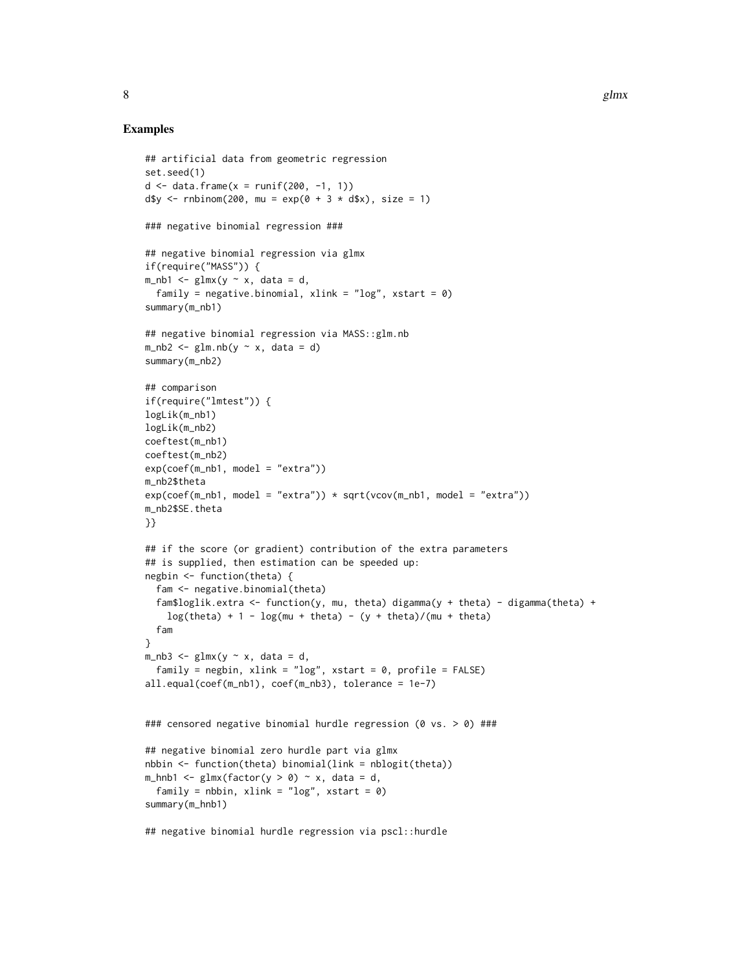#### Examples

```
## artificial data from geometric regression
set.seed(1)
d \leq - data.frame(x = runif(200, -1, 1))
d$y <- rnbinom(200, mu = exp(0 + 3 \times d$x), size = 1)
### negative binomial regression ###
## negative binomial regression via glmx
if(require("MASS")) {
m_nhb1 <- glmx(y ~ x, data = d,
  family = negative.binomial, xlink = "log", xstart = \emptyset)
summary(m_nb1)
## negative binomial regression via MASS::glm.nb
m_n b2 \leq glm.nb(y \sim x, data = d)summary(m_nb2)
## comparison
if(require("lmtest")) {
logLik(m_nb1)
logLik(m_nb2)
coeftest(m_nb1)
coeftest(m_nb2)
exp(coef(m_nb1, model = "extra"))
m_nb2$theta
exp(coeff(m_nh1, model = "extra")) * sqrt(vcov(m_nh1, model = "extra"))m_nb2$SE.theta
}}
## if the score (or gradient) contribution of the extra parameters
## is supplied, then estimation can be speeded up:
negbin <- function(theta) {
  fam <- negative.binomial(theta)
  fam$loglik.extra <- function(y, mu, theta) digamma(y + theta) - digamma(theta) +
    log(theta) + 1 - log(mu + theta) - (y + theta)/(mu + theta)fam
}
m_nhb3 <- glmx(y ~ x, data = d,
  family = negbin, xlink = "log", xstart = \theta, profile = FALSE)
all.equal(coef(m_nb1), coef(m_nb3), tolerance = 1e-7)
### censored negative binomial hurdle regression (0 vs. > 0) ###
## negative binomial zero hurdle part via glmx
nbbin <- function(theta) binomial(link = nblogit(theta))
m_{h}hnb1 <- glmx(factor(y > 0) ~ x, data = d,
  family = nbbin, xlink = "log", xstart = \emptyset)
summary(m_hnb1)
```
## negative binomial hurdle regression via pscl::hurdle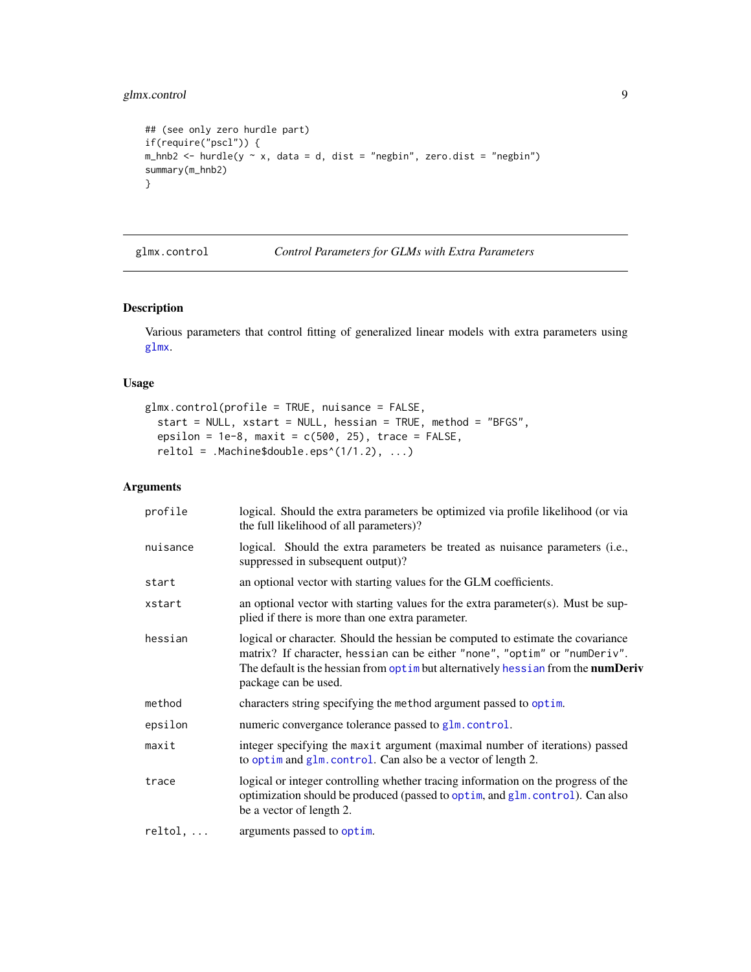# <span id="page-8-0"></span>glmx.control 9

```
## (see only zero hurdle part)
if(require("pscl")) {
m_hnb2 \leq hurdle(y \leq x, data = d, dist = "negbin", zero dist = "negbin")summary(m_hnb2)
}
```
<span id="page-8-1"></span>glmx.control *Control Parameters for GLMs with Extra Parameters*

#### Description

Various parameters that control fitting of generalized linear models with extra parameters using [glmx](#page-5-1).

#### Usage

```
glmx.control(profile = TRUE, nuisance = FALSE,
 start = NULL, xstart = NULL, hessian = TRUE, method = "BFGS",
  epsilon = 1e-8, maxit = c(500, 25), trace = FALSE,
  reltol = .Machine$double.eps^(1/1.2), ...)
```
# Arguments

| profile          | logical. Should the extra parameters be optimized via profile likelihood (or via<br>the full likelihood of all parameters)?                                                                                                                                                      |
|------------------|----------------------------------------------------------------------------------------------------------------------------------------------------------------------------------------------------------------------------------------------------------------------------------|
| nuisance         | logical. Should the extra parameters be treated as nuisance parameters (i.e.,<br>suppressed in subsequent output)?                                                                                                                                                               |
| start            | an optional vector with starting values for the GLM coefficients.                                                                                                                                                                                                                |
| xstart           | an optional vector with starting values for the extra parameter(s). Must be sup-<br>plied if there is more than one extra parameter.                                                                                                                                             |
| hessian          | logical or character. Should the hessian be computed to estimate the covariance<br>matrix? If character, hessian can be either "none", "optim" or "numDeriv".<br>The default is the hessian from optimbut alternatively hessian from the <b>numDeriv</b><br>package can be used. |
| method           | characters string specifying the method argument passed to optim.                                                                                                                                                                                                                |
| epsilon          | numeric convergance tolerance passed to glm.control.                                                                                                                                                                                                                             |
| maxit            | integer specifying the maxit argument (maximal number of iterations) passed<br>to optim and glm. control. Can also be a vector of length 2.                                                                                                                                      |
| trace            | logical or integer controlling whether tracing information on the progress of the<br>optimization should be produced (passed to optim, and glm. control). Can also<br>be a vector of length 2.                                                                                   |
| $reltol, \ldots$ | arguments passed to optim.                                                                                                                                                                                                                                                       |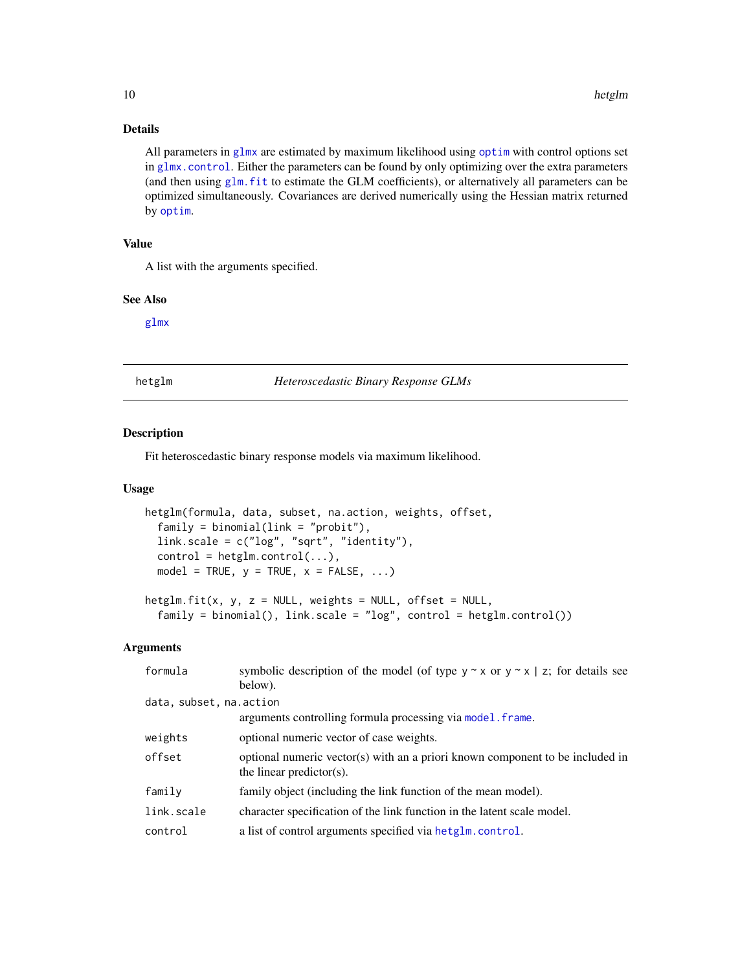# Details

All parameters in  $g1mx$  are estimated by maximum likelihood using [optim](#page-0-0) with control options set in [glmx.control](#page-8-1). Either the parameters can be found by only optimizing over the extra parameters (and then using  $g \, \text{l} \, \text{m}$ . fit to estimate the GLM coefficients), or alternatively all parameters can be optimized simultaneously. Covariances are derived numerically using the Hessian matrix returned by [optim](#page-0-0).

# Value

A list with the arguments specified.

#### See Also

[glmx](#page-5-1)

<span id="page-9-1"></span>

hetglm *Heteroscedastic Binary Response GLMs*

# Description

Fit heteroscedastic binary response models via maximum likelihood.

#### Usage

```
hetglm(formula, data, subset, na.action, weights, offset,
  family = binomial(link = "probit"),link.scale = c("log", "sqrt", "identity"),
  control = <math>height.outrol(...)</math>,model = TRUE, y = TRUE, x = FALSE, ...)
```

```
hetslm.fit(x, y, z = NULL, weights = NULL, offset = NULL,family = binomial(), link.scale = "log", control = hetglm.control())
```
#### Arguments

| formula                  | symbolic description of the model (of type $y \sim x$ or $y \sim x$   z; for details see                  |
|--------------------------|-----------------------------------------------------------------------------------------------------------|
|                          | below).                                                                                                   |
| data, subset, na. action |                                                                                                           |
|                          | arguments controlling formula processing via model. frame.                                                |
| weights                  | optional numeric vector of case weights.                                                                  |
| offset                   | optional numeric vector(s) with an a priori known component to be included in<br>the linear predictor(s). |
| family                   | family object (including the link function of the mean model).                                            |
| link.scale               | character specification of the link function in the latent scale model.                                   |
| control                  | a list of control arguments specified via hetglm.control.                                                 |

<span id="page-9-0"></span>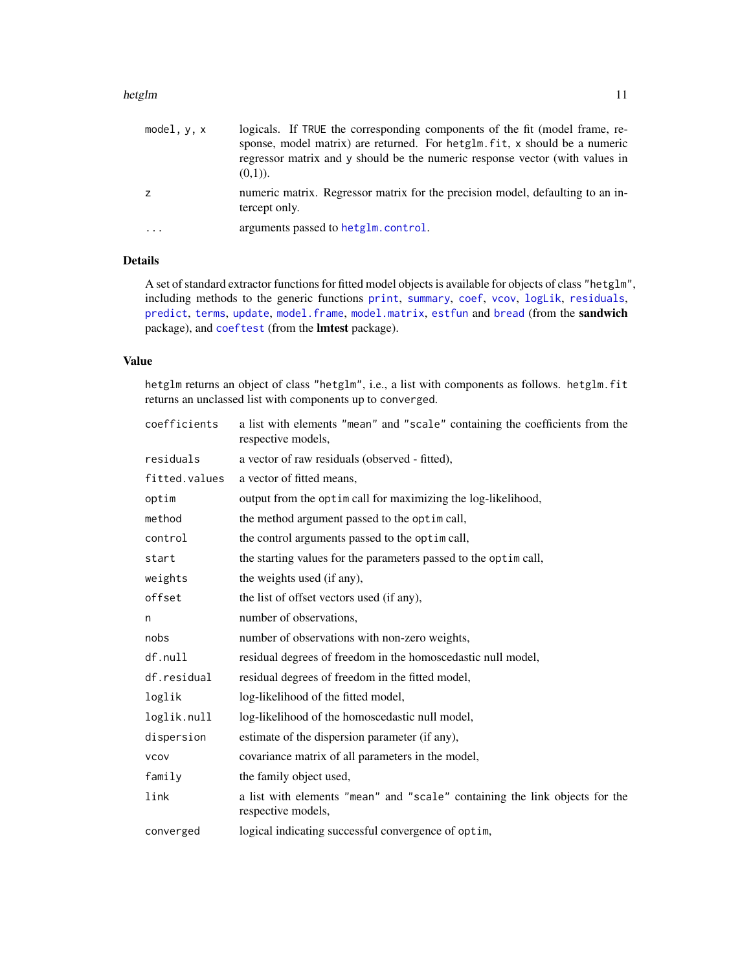#### <span id="page-10-0"></span>hetglm 11

| model, y, x | logicals. If TRUE the corresponding components of the fit (model frame, re-<br>sponse, model matrix) are returned. For hetglm. fit, x should be a numeric<br>regressor matrix and y should be the numeric response vector (with values in<br>$(0,1)$ ). |
|-------------|---------------------------------------------------------------------------------------------------------------------------------------------------------------------------------------------------------------------------------------------------------|
| z           | numeric matrix. Regressor matrix for the precision model, defaulting to an in-<br>tercept only.                                                                                                                                                         |
| $\cdots$    | arguments passed to hetglm.control.                                                                                                                                                                                                                     |

# Details

A set of standard extractor functions for fitted model objects is available for objects of class "hetglm", including methods to the generic functions [print](#page-0-0), [summary](#page-0-0), [coef](#page-0-0), [vcov](#page-0-0), [logLik](#page-0-0), [residuals](#page-0-0), [predict](#page-0-0), [terms](#page-0-0), [update](#page-0-0), [model.frame](#page-0-0), [model.matrix](#page-0-0), [estfun](#page-0-0) and [bread](#page-0-0) (from the sandwich package), and [coeftest](#page-0-0) (from the lmtest package).

#### Value

hetglm returns an object of class "hetglm", i.e., a list with components as follows. hetglm.fit returns an unclassed list with components up to converged.

| coefficients  | a list with elements "mean" and "scale" containing the coefficients from the<br>respective models, |
|---------------|----------------------------------------------------------------------------------------------------|
| residuals     | a vector of raw residuals (observed - fitted),                                                     |
| fitted.values | a vector of fitted means,                                                                          |
| optim         | output from the optimical for maximizing the log-likelihood,                                       |
| method        | the method argument passed to the optim call,                                                      |
| control       | the control arguments passed to the optimicall,                                                    |
| start         | the starting values for the parameters passed to the optim call,                                   |
| weights       | the weights used (if any),                                                                         |
| offset        | the list of offset vectors used (if any),                                                          |
| n             | number of observations,                                                                            |
| nobs          | number of observations with non-zero weights,                                                      |
| df.null       | residual degrees of freedom in the homoscedastic null model,                                       |
| df.residual   | residual degrees of freedom in the fitted model,                                                   |
| loglik        | log-likelihood of the fitted model,                                                                |
| loglik.null   | log-likelihood of the homoscedastic null model,                                                    |
| dispersion    | estimate of the dispersion parameter (if any),                                                     |
| <b>VCOV</b>   | covariance matrix of all parameters in the model,                                                  |
| family        | the family object used,                                                                            |
| link          | a list with elements "mean" and "scale" containing the link objects for the<br>respective models,  |
| converged     | logical indicating successful convergence of optim,                                                |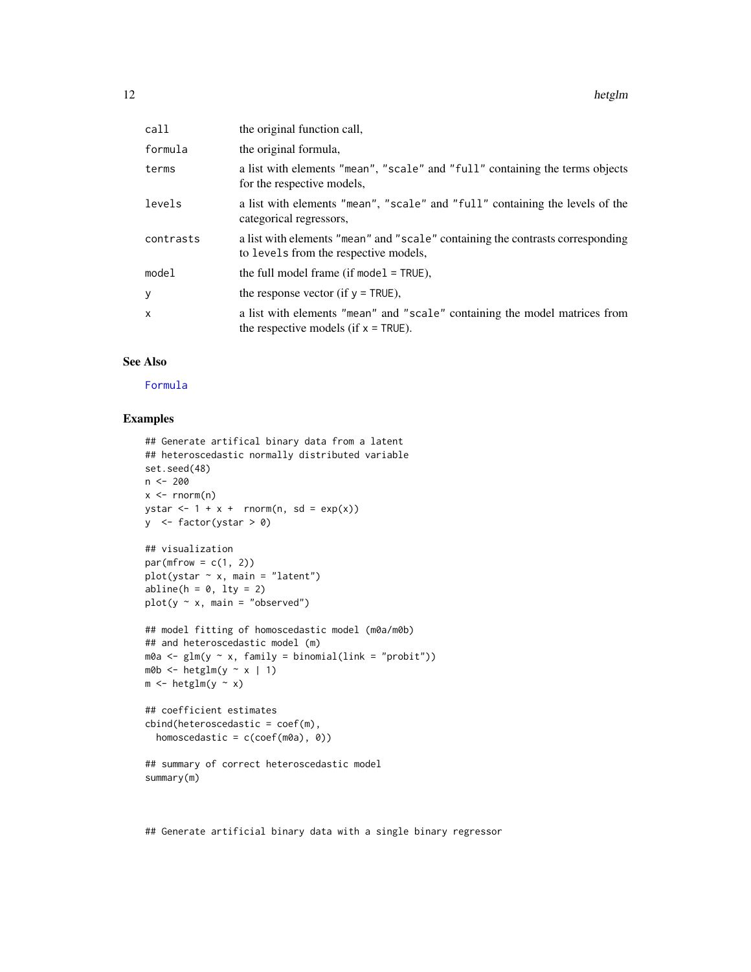<span id="page-11-0"></span>

| call      | the original function call,                                                                                             |
|-----------|-------------------------------------------------------------------------------------------------------------------------|
| formula   | the original formula,                                                                                                   |
| terms     | a list with elements "mean", "scale" and "full" containing the terms objects<br>for the respective models,              |
| levels    | a list with elements "mean", "scale" and "full" containing the levels of the<br>categorical regressors,                 |
| contrasts | a list with elements "mean" and "scale" containing the contrasts corresponding<br>to levels from the respective models, |
| model     | the full model frame (if model $=$ TRUE),                                                                               |
| у         | the response vector (if $y = TRUE$ ).                                                                                   |
| x         | a list with elements "mean" and "scale" containing the model matrices from<br>the respective models (if $x = TRUE$ ).   |

# See Also

[Formula](#page-0-0)

# Examples

```
## Generate artifical binary data from a latent
## heteroscedastic normally distributed variable
set.seed(48)
n <- 200
x \le - rnorm(n)ystar \leq -1 + x + \text{norm}(n, \text{sd} = \exp(x))y \le- factor(ystar > 0)
## visualization
par(mfrow = c(1, 2))plot(ystar \sim x, main = "latent")
abline(h = 0, 1ty = 2)plot(y \sim x, \text{ main} = "observed")## model fitting of homoscedastic model (m0a/m0b)
## and heteroscedastic model (m)
m0a \leftarrow glm(y \sim x, family = binomial(link = "probit")m0b <- hetglm(y ~ x | 1)
m \le -h_{\text{etglm}}(y \sim x)## coefficient estimates
cbind(heteroscedastic = coef(m),
  homoscedastic = c(coef(m0a), 0))
## summary of correct heteroscedastic model
summary(m)
```
## Generate artificial binary data with a single binary regressor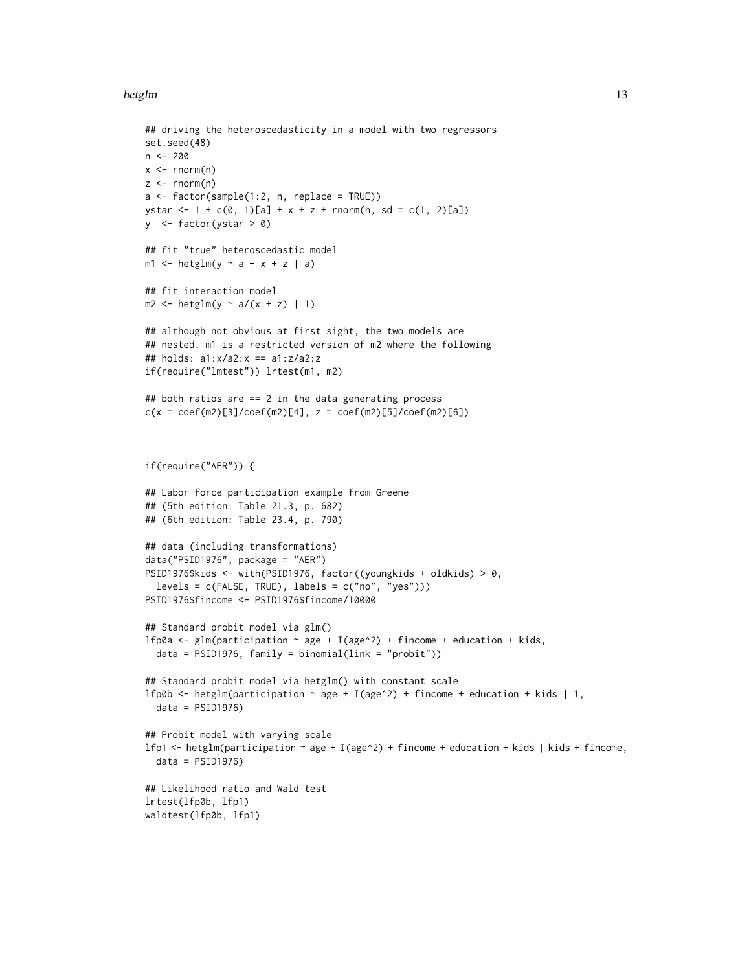#### hetglm and the state of the state of the state of the state of the state of the state of the state of the state of the state of the state of the state of the state of the state of the state of the state of the state of the

```
## driving the heteroscedasticity in a model with two regressors
set.seed(48)
n <- 200
x \leq -rnorm(n)z \le rnorm(n)
a \leftarrow factor(sample(1:2, n, replace = TRUE))ystar <- 1 + c(0, 1)[a] + x + z + rnorm(n, sd = c(1, 2)[a])
y \le- factor(ystar > 0)
## fit "true" heteroscedastic model
m1 <- hetglm(y \sim a + x + z | a)
## fit interaction model
m2 \leq - \text{hetglm}(y \sim a/(x + z) + 1)## although not obvious at first sight, the two models are
## nested. m1 is a restricted version of m2 where the following
## holds: a1:x/a2:x == a1:z/a2:z
if(require("lmtest")) lrtest(m1, m2)
## both ratios are == 2 in the data generating process
c(x = coef(m2)[3]/coef(m2)[4], z = coef(m2)[5]/coef(m2)[6])if(require("AER")) {
## Labor force participation example from Greene
## (5th edition: Table 21.3, p. 682)
## (6th edition: Table 23.4, p. 790)
## data (including transformations)
data("PSID1976", package = "AER")
PSID1976$kids <- with(PSID1976, factor((youngkids + oldkids) > 0,
  levels = c(FALSE, TRUE), labels = c("no", "yes"))PSID1976$fincome <- PSID1976$fincome/10000
## Standard probit model via glm()
lfp0a <- glm(participation \sim age + I(age^2) + fincome + education + kids,
  data = PSID1976, family = binomial(link = "probability")## Standard probit model via hetglm() with constant scale
lfp0b <- hetglm(participation \sim age + I(age^2) + fincome + education + kids | 1,
  data = PSID1976)
## Probit model with varying scale
lfp1 <- hetglm(participation \sim age + I(age\sim2) + fincome + education + kids | kids + fincome,
  data = PSID1976)
## Likelihood ratio and Wald test
lrtest(lfp0b, lfp1)
waldtest(lfp0b, lfp1)
```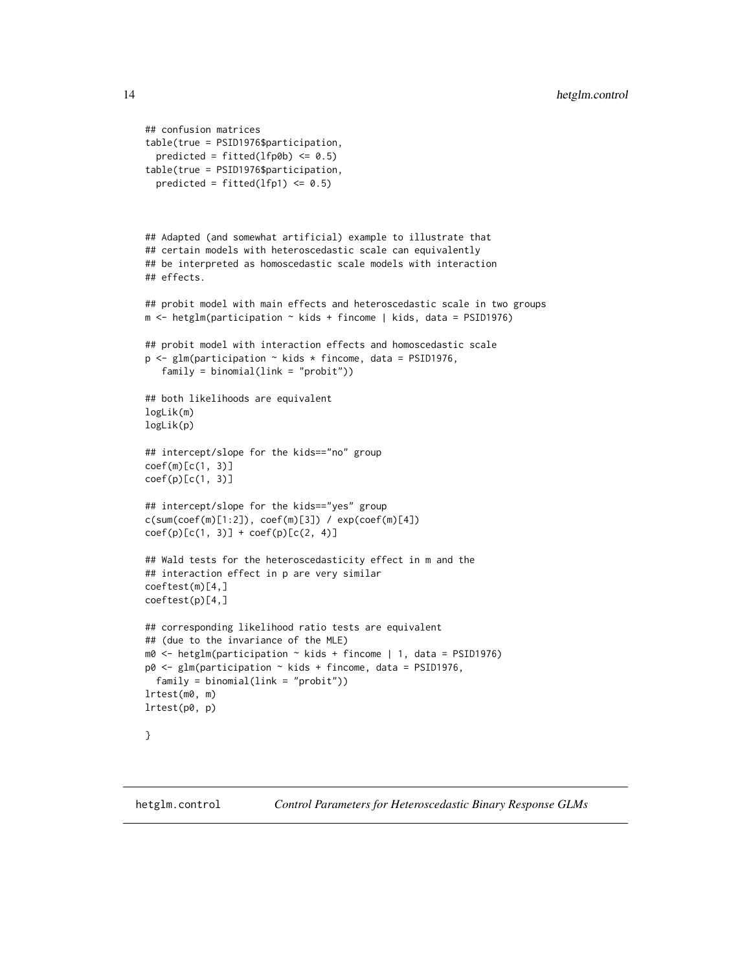```
## confusion matrices
table(true = PSID1976$participation,
 predicted = fitted(1fp@b) <= 0.5)
table(true = PSID1976$participation,
 predicted = fitted(1fp1) \leq 0.5## Adapted (and somewhat artificial) example to illustrate that
## certain models with heteroscedastic scale can equivalently
## be interpreted as homoscedastic scale models with interaction
## effects.
## probit model with main effects and heteroscedastic scale in two groups
m \le - hetglm(participation \sim kids + fincome | kids, data = PSID1976)
## probit model with interaction effects and homoscedastic scale
p \leq glm(participation \sim kids * fincome, data = PSD1976,family = binomial(link = "probit"))
## both likelihoods are equivalent
logLik(m)
logLik(p)
## intercept/slope for the kids=="no" group
coef(m)[c(1, 3)]
coef(p)[c(1, 3)]## intercept/slope for the kids=="yes" group
c(sum(coef(m)[1:2]), coef(m)[3]) / exp(coef(m)[4])
coef(p)[c(1, 3)] + coef(p)[c(2, 4)]## Wald tests for the heteroscedasticity effect in m and the
## interaction effect in p are very similar
coeftest(m)[4,]
coeftest(p)[4,]
## corresponding likelihood ratio tests are equivalent
## (due to the invariance of the MLE)
m0 \leq - \text{hetglm}(\text{partition} \leq \text{kids} + \text{fincome} \mid 1, \text{ data} = \text{PSID1976})p0 <- glm(participation ~ kids + fincome, data = PSID1976,
 family = binomial(link = "probit"))
lrtest(m0, m)
lrtest(p0, p)
}
```
<span id="page-13-1"></span>

hetglm.control *Control Parameters for Heteroscedastic Binary Response GLMs*

<span id="page-13-0"></span>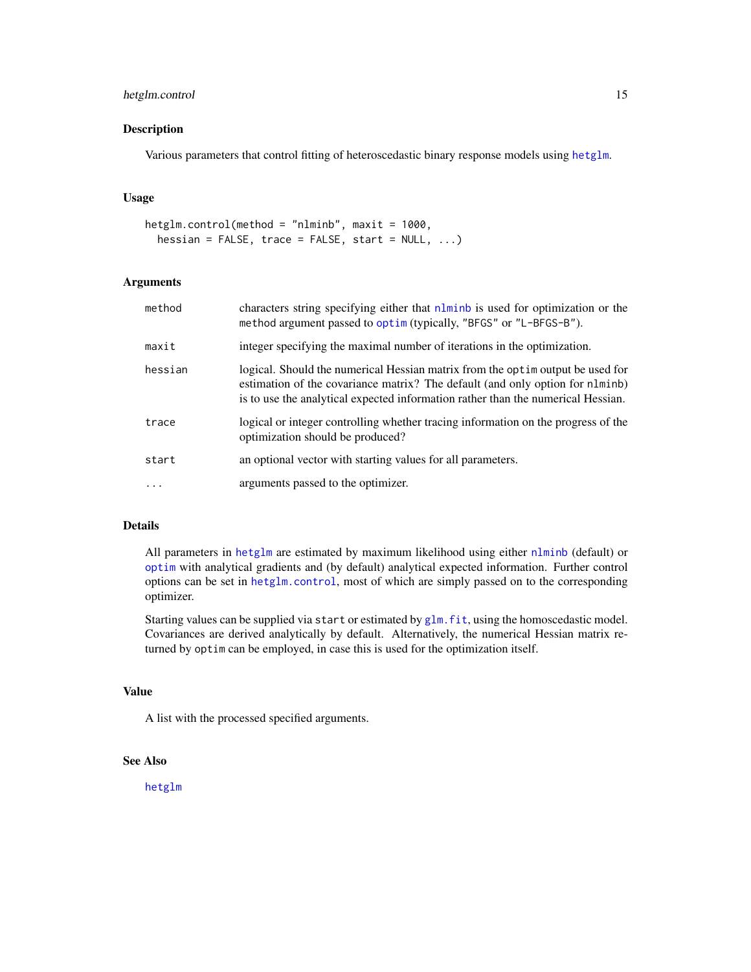# <span id="page-14-0"></span>hetglm.control 15

# Description

Various parameters that control fitting of heteroscedastic binary response models using [hetglm](#page-9-1).

#### Usage

```
hetglm.control(method = "nlminb", maxit = 1000,
  hessian = FALSE, trace = FALSE, start = NULL, \ldots)
```
# Arguments

| method   | characters string specifying either that nlminb is used for optimization or the<br>method argument passed to optim (typically, "BFGS" or "L-BFGS-B").                                                                                                |
|----------|------------------------------------------------------------------------------------------------------------------------------------------------------------------------------------------------------------------------------------------------------|
| maxit    | integer specifying the maximal number of iterations in the optimization.                                                                                                                                                                             |
| hessian  | logical. Should the numerical Hessian matrix from the optime output be used for<br>estimation of the covariance matrix? The default (and only option for nlminb)<br>is to use the analytical expected information rather than the numerical Hessian. |
| trace    | logical or integer controlling whether tracing information on the progress of the<br>optimization should be produced?                                                                                                                                |
| start    | an optional vector with starting values for all parameters.                                                                                                                                                                                          |
| $\cdots$ | arguments passed to the optimizer.                                                                                                                                                                                                                   |

# Details

All parameters in [hetglm](#page-9-1) are estimated by maximum likelihood using either [nlminb](#page-0-0) (default) or [optim](#page-0-0) with analytical gradients and (by default) analytical expected information. Further control options can be set in [hetglm.control](#page-13-1), most of which are simply passed on to the corresponding optimizer.

Starting values can be supplied via start or estimated by [glm.fit](#page-0-0), using the homoscedastic model. Covariances are derived analytically by default. Alternatively, the numerical Hessian matrix returned by optim can be employed, in case this is used for the optimization itself.

# Value

A list with the processed specified arguments.

#### See Also

[hetglm](#page-9-1)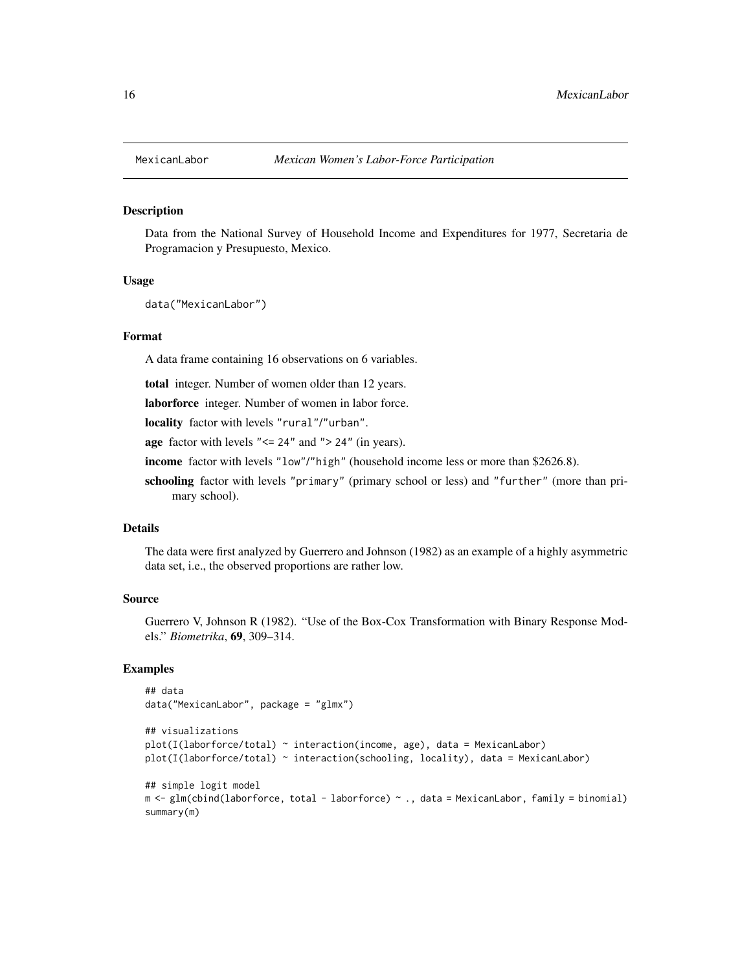<span id="page-15-0"></span>

#### Description

Data from the National Survey of Household Income and Expenditures for 1977, Secretaria de Programacion y Presupuesto, Mexico.

#### Usage

data("MexicanLabor")

#### Format

A data frame containing 16 observations on 6 variables.

total integer. Number of women older than 12 years.

laborforce integer. Number of women in labor force.

locality factor with levels "rural"/"urban".

age factor with levels "<= 24" and "> 24" (in years).

income factor with levels "low"/"high" (household income less or more than \$2626.8).

schooling factor with levels "primary" (primary school or less) and "further" (more than primary school).

### Details

The data were first analyzed by Guerrero and Johnson (1982) as an example of a highly asymmetric data set, i.e., the observed proportions are rather low.

#### Source

Guerrero V, Johnson R (1982). "Use of the Box-Cox Transformation with Binary Response Models." *Biometrika*, 69, 309–314.

# Examples

```
## data
data("MexicanLabor", package = "glmx")
## visualizations
plot(I(laborforce/total) ~ interaction(income, age), data = MexicanLabor)
plot(I(laborforce/total) ~ interaction(schooling, locality), data = MexicanLabor)
## simple logit model
m <- glm(cbind(laborforce, total - laborforce) ~ ., data = MexicanLabor, family = binomial)
summary(m)
```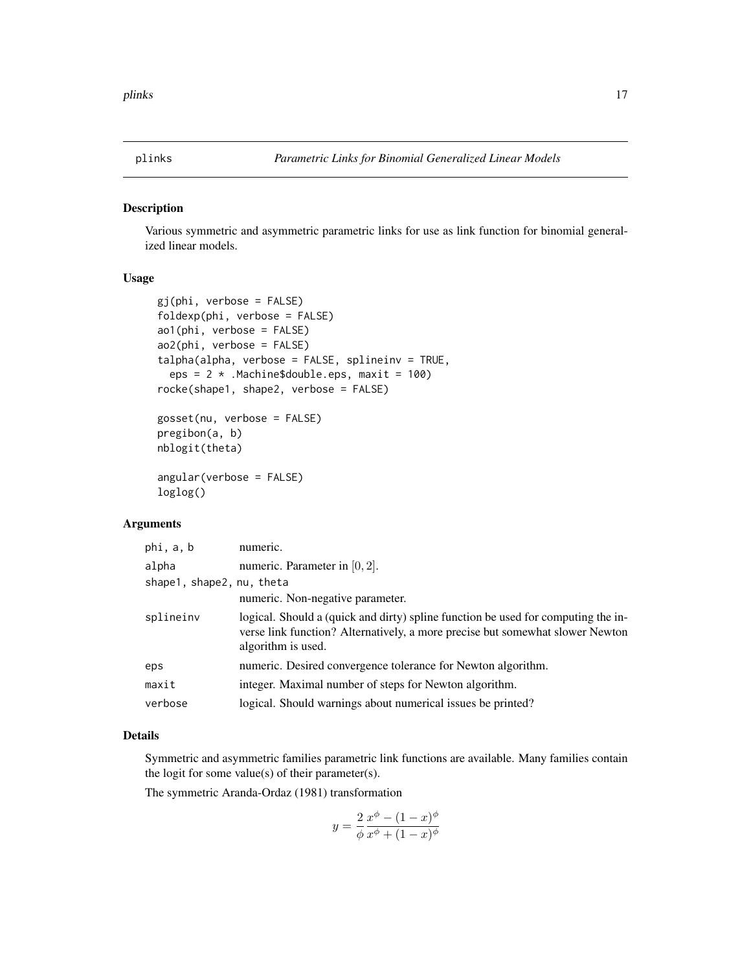<span id="page-16-2"></span><span id="page-16-0"></span>

# <span id="page-16-1"></span>Description

Various symmetric and asymmetric parametric links for use as link function for binomial generalized linear models.

# Usage

```
gj(phi, verbose = FALSE)
foldexp(phi, verbose = FALSE)
ao1(phi, verbose = FALSE)
ao2(phi, verbose = FALSE)
talpha(alpha), verbose = FALSE, splineinv = TRUE,
  eps = 2 * . Machine $double.eps, maxit = 100)
rocke(shape1, shape2, verbose = FALSE)
gosset(nu, verbose = FALSE)
```

```
pregibon(a, b)
nblogit(theta)
angular(verbose = FALSE)
```

```
loglog()
```
#### Arguments

| phi, a, b                 | numeric.                                                                                                                                                                                 |
|---------------------------|------------------------------------------------------------------------------------------------------------------------------------------------------------------------------------------|
| alpha                     | numeric. Parameter in $[0, 2]$ .                                                                                                                                                         |
| shape1, shape2, nu, theta |                                                                                                                                                                                          |
|                           | numeric. Non-negative parameter.                                                                                                                                                         |
| splineinv                 | logical. Should a (quick and dirty) spline function be used for computing the in-<br>verse link function? Alternatively, a more precise but somewhat slower Newton<br>algorithm is used. |
| eps                       | numeric. Desired convergence tolerance for Newton algorithm.                                                                                                                             |
| maxit                     | integer. Maximal number of steps for Newton algorithm.                                                                                                                                   |
| verbose                   | logical. Should warnings about numerical issues be printed?                                                                                                                              |

# Details

Symmetric and asymmetric families parametric link functions are available. Many families contain the logit for some value(s) of their parameter(s).

The symmetric Aranda-Ordaz (1981) transformation

$$
y = \frac{2}{\phi} \frac{x^{\phi} - (1 - x)^{\phi}}{x^{\phi} + (1 - x)^{\phi}}
$$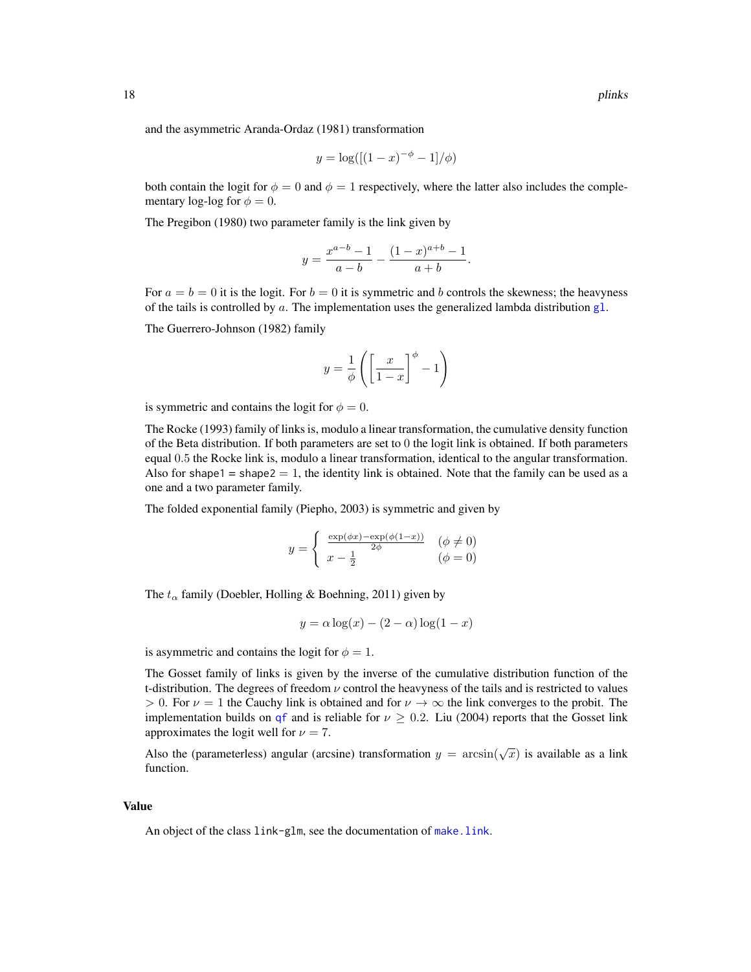<span id="page-17-0"></span>and the asymmetric Aranda-Ordaz (1981) transformation

$$
y = \log([(1-x)^{-\phi} - 1]/\phi)
$$

both contain the logit for  $\phi = 0$  and  $\phi = 1$  respectively, where the latter also includes the complementary log-log for  $\phi = 0$ .

The Pregibon (1980) two parameter family is the link given by

$$
y = \frac{x^{a-b} - 1}{a-b} - \frac{(1-x)^{a+b} - 1}{a+b}.
$$

For  $a = b = 0$  it is the logit. For  $b = 0$  it is symmetric and b controls the skewness; the heavyness of the tails is controlled by a. The implementation uses the generalized lambda distribution  $g1$ .

The Guerrero-Johnson (1982) family

$$
y = \frac{1}{\phi} \left( \left[ \frac{x}{1-x} \right]^{\phi} - 1 \right)
$$

is symmetric and contains the logit for  $\phi = 0$ .

The Rocke (1993) family of links is, modulo a linear transformation, the cumulative density function of the Beta distribution. If both parameters are set to 0 the logit link is obtained. If both parameters equal 0.5 the Rocke link is, modulo a linear transformation, identical to the angular transformation. Also for shape1 = shape2 = 1, the identity link is obtained. Note that the family can be used as a one and a two parameter family.

The folded exponential family (Piepho, 2003) is symmetric and given by

$$
y = \begin{cases} \frac{\exp(\phi x) - \exp(\phi(1-x))}{2\phi} & (\phi \neq 0) \\ x - \frac{1}{2} & (\phi = 0) \end{cases}
$$

The  $t_{\alpha}$  family (Doebler, Holling & Boehning, 2011) given by

$$
y = \alpha \log(x) - (2 - \alpha) \log(1 - x)
$$

is asymmetric and contains the logit for  $\phi = 1$ .

The Gosset family of links is given by the inverse of the cumulative distribution function of the t-distribution. The degrees of freedom  $\nu$  control the heavyness of the tails and is restricted to values  $> 0$ . For  $\nu = 1$  the Cauchy link is obtained and for  $\nu \to \infty$  the link converges to the probit. The implementation builds on [qf](#page-0-0) and is reliable for  $\nu \geq 0.2$ . Liu (2004) reports that the Gosset link approximates the logit well for  $\nu = 7$ .

Also the (parameterless) angular (arcsine) transformation  $y = \arcsin(\sqrt{x})$  is available as a link function.

#### Value

An object of the class link-glm, see the documentation of [make.link](#page-0-0).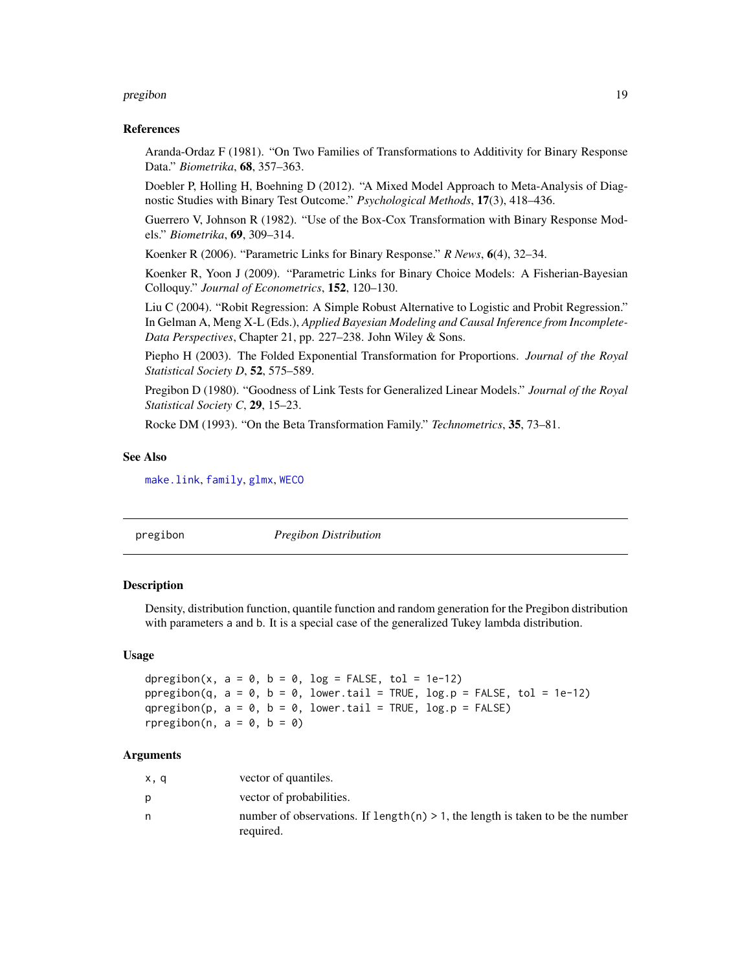#### <span id="page-18-0"></span>pregibon 19

#### References

Aranda-Ordaz F (1981). "On Two Families of Transformations to Additivity for Binary Response Data." *Biometrika*, 68, 357–363.

Doebler P, Holling H, Boehning D (2012). "A Mixed Model Approach to Meta-Analysis of Diagnostic Studies with Binary Test Outcome." *Psychological Methods*, 17(3), 418–436.

Guerrero V, Johnson R (1982). "Use of the Box-Cox Transformation with Binary Response Models." *Biometrika*, 69, 309–314.

Koenker R (2006). "Parametric Links for Binary Response." *R News*, 6(4), 32–34.

Koenker R, Yoon J (2009). "Parametric Links for Binary Choice Models: A Fisherian-Bayesian Colloquy." *Journal of Econometrics*, 152, 120–130.

Liu C (2004). "Robit Regression: A Simple Robust Alternative to Logistic and Probit Regression." In Gelman A, Meng X-L (Eds.), *Applied Bayesian Modeling and Causal Inference from Incomplete-Data Perspectives*, Chapter 21, pp. 227–238. John Wiley & Sons.

Piepho H (2003). The Folded Exponential Transformation for Proportions. *Journal of the Royal Statistical Society D*, 52, 575–589.

Pregibon D (1980). "Goodness of Link Tests for Generalized Linear Models." *Journal of the Royal Statistical Society C*, 29, 15–23.

Rocke DM (1993). "On the Beta Transformation Family." *Technometrics*, 35, 73–81.

#### See Also

[make.link](#page-0-0), [family](#page-0-0), [glmx](#page-5-1), [WECO](#page-20-1)

|--|

#### Description

Density, distribution function, quantile function and random generation for the Pregibon distribution with parameters a and b. It is a special case of the generalized Tukey lambda distribution.

#### Usage

```
dpregibon(x, a = 0, b = 0, log = FALSE, tol = 1e-12)
ppregibon(q, a = 0, b = 0, lower.tail = TRUE, log.p = FALSE, tol = 1e-12)
qpregibon(p, a = 0, b = 0, lower.tail = TRUE, log.p = FALSE)
rpregibon(n, a = 0, b = 0)
```
#### Arguments

| x, q | vector of quantiles.                                                                            |
|------|-------------------------------------------------------------------------------------------------|
| D    | vector of probabilities.                                                                        |
| n    | number of observations. If length $(n) > 1$ , the length is taken to be the number<br>required. |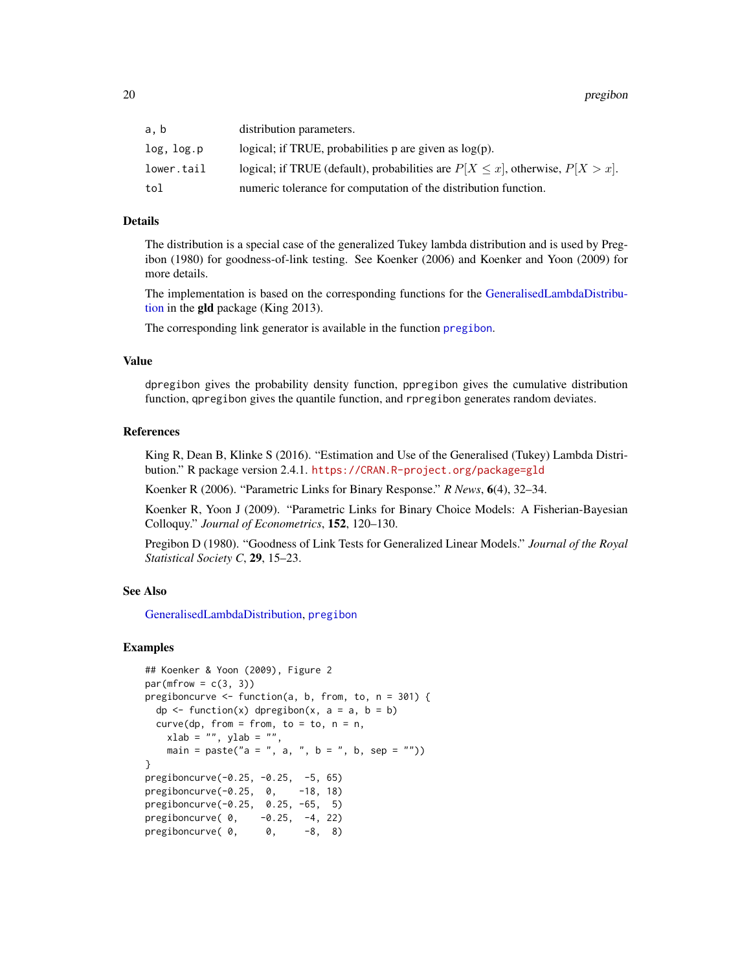<span id="page-19-0"></span>

| a.b        | distribution parameters.                                                             |
|------------|--------------------------------------------------------------------------------------|
| log, log.p | logical; if TRUE, probabilities $p$ are given as $log(p)$ .                          |
| lower.tail | logical; if TRUE (default), probabilities are $P[X \le x]$ , otherwise, $P[X > x]$ . |
| tol        | numeric tolerance for computation of the distribution function.                      |

# Details

The distribution is a special case of the generalized Tukey lambda distribution and is used by Pregibon (1980) for goodness-of-link testing. See Koenker (2006) and Koenker and Yoon (2009) for more details.

The implementation is based on the corresponding functions for the [GeneralisedLambdaDistribu](#page-0-0)[tion](#page-0-0) in the gld package (King 2013).

The corresponding link generator is available in the function [pregibon](#page-16-1).

#### Value

dpregibon gives the probability density function, ppregibon gives the cumulative distribution function, qpregibon gives the quantile function, and rpregibon generates random deviates.

# References

King R, Dean B, Klinke S (2016). "Estimation and Use of the Generalised (Tukey) Lambda Distribution." R package version 2.4.1. <https://CRAN.R-project.org/package=gld>

Koenker R (2006). "Parametric Links for Binary Response." *R News*, 6(4), 32–34.

Koenker R, Yoon J (2009). "Parametric Links for Binary Choice Models: A Fisherian-Bayesian Colloquy." *Journal of Econometrics*, 152, 120–130.

Pregibon D (1980). "Goodness of Link Tests for Generalized Linear Models." *Journal of the Royal Statistical Society C*, 29, 15–23.

### See Also

[GeneralisedLambdaDistribution,](#page-0-0) [pregibon](#page-16-1)

#### Examples

```
## Koenker & Yoon (2009), Figure 2
par(mfrow = c(3, 3))pregiboncurve \leq function(a, b, from, to, n = 301) {
 dp \le function(x) dpregibon(x, a = a, b = b)
 curve(dp, from = from, to = to, n = n,xlab = "", ylab = "",main = paste("a = ", a, ", b = ", b, sep = ""))
}
pregiboncurve(-0.25, -0.25, -5, 65)
pregiboncurve(-0.25, 0, -18, 18)
pregiboncurve(-0.25, 0.25, -65, 5)
pregiboncurve( 0, -0.25, -4, 22)
pregiboncurve(0, 0, -8, 8)
```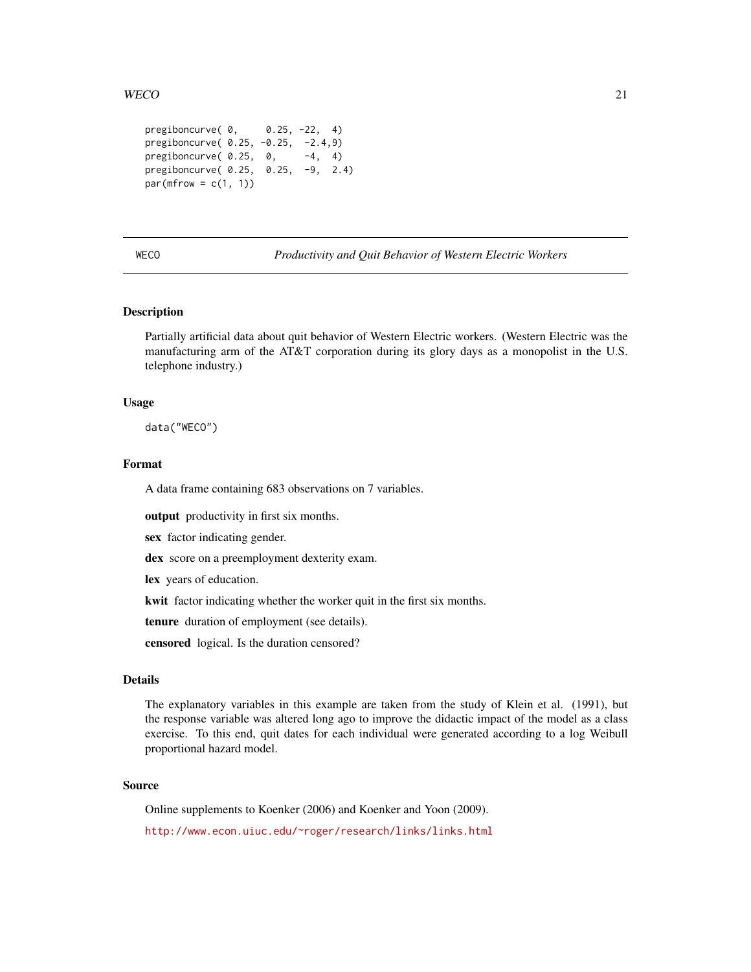#### <span id="page-20-0"></span> $WECO$  21

```
pregiboncurve( 0, 0.25, -22, 4)
pregiboncurve( 0.25, -0.25, -2.4,9)
pregiboncurve( 0.25, 0, -4, 4)
pregiboncurve( 0.25, 0.25, -9, 2.4)
par(mfrow = c(1, 1))
```
<span id="page-20-1"></span>WECO *Productivity and Quit Behavior of Western Electric Workers*

# **Description**

Partially artificial data about quit behavior of Western Electric workers. (Western Electric was the manufacturing arm of the AT&T corporation during its glory days as a monopolist in the U.S. telephone industry.)

#### Usage

data("WECO")

# Format

A data frame containing 683 observations on 7 variables.

output productivity in first six months.

sex factor indicating gender.

dex score on a preemployment dexterity exam.

lex years of education.

kwit factor indicating whether the worker quit in the first six months.

tenure duration of employment (see details).

censored logical. Is the duration censored?

#### Details

The explanatory variables in this example are taken from the study of Klein et al. (1991), but the response variable was altered long ago to improve the didactic impact of the model as a class exercise. To this end, quit dates for each individual were generated according to a log Weibull proportional hazard model.

# Source

Online supplements to Koenker (2006) and Koenker and Yoon (2009). <http://www.econ.uiuc.edu/~roger/research/links/links.html>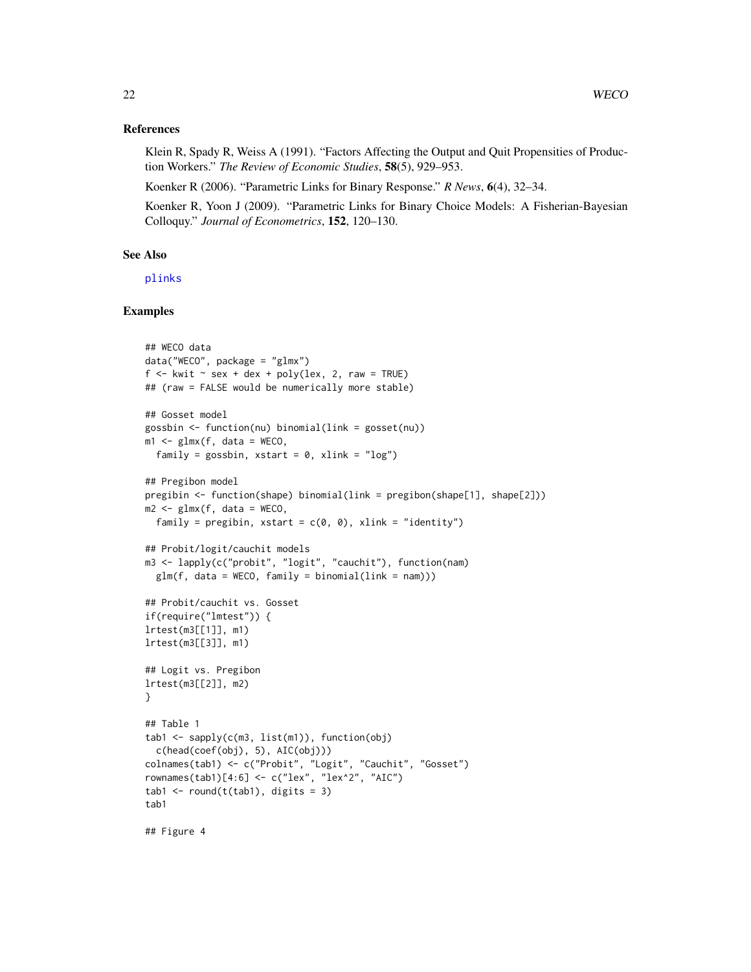#### <span id="page-21-0"></span>References

Klein R, Spady R, Weiss A (1991). "Factors Affecting the Output and Quit Propensities of Production Workers." *The Review of Economic Studies*, 58(5), 929–953.

Koenker R (2006). "Parametric Links for Binary Response." *R News*, 6(4), 32–34.

Koenker R, Yoon J (2009). "Parametric Links for Binary Choice Models: A Fisherian-Bayesian Colloquy." *Journal of Econometrics*, 152, 120–130.

#### See Also

[plinks](#page-16-2)

#### Examples

```
## WECO data
data("WECO", package = "glmx")
f \le -kwit \sim sex + dex + poly(lex, 2, raw = TRUE)
## (raw = FALSE would be numerically more stable)
## Gosset model
gossbin <- function(nu) binomial(link = gosset(nu))
m1 \leq -glmx(f, data = WECO,
 family = gossbin, xstart = 0, xlink = "log")
## Pregibon model
pregibin <- function(shape) binomial(link = pregibon(shape[1], shape[2]))
m2 \leq -g \text{Im}(f, \text{data} = \text{WECO},family = pregibin, xstart = c(0, 0), xlink = "identity")
## Probit/logit/cauchit models
m3 <- lapply(c("probit", "logit", "cauchit"), function(nam)
  glm(f, data = WECO, family = binomial(link = nam))## Probit/cauchit vs. Gosset
if(require("lmtest")) {
lrtest(m3[[1]], m1)
lrtest(m3[[3]], m1)
## Logit vs. Pregibon
lrtest(m3[[2]], m2)
}
## Table 1
tab1 <- sapply(c(m3, list(m1)), function(obj)
  c(head(coef(obj), 5), AIC(obj)))
colnames(tab1) <- c("Probit", "Logit", "Cauchit", "Gosset")
rownames(tab1)[4:6] <- c("lex", "lex^2", "AIC")
tab1 < - round(t(tab1), digits = 3)
tab1
```
## Figure 4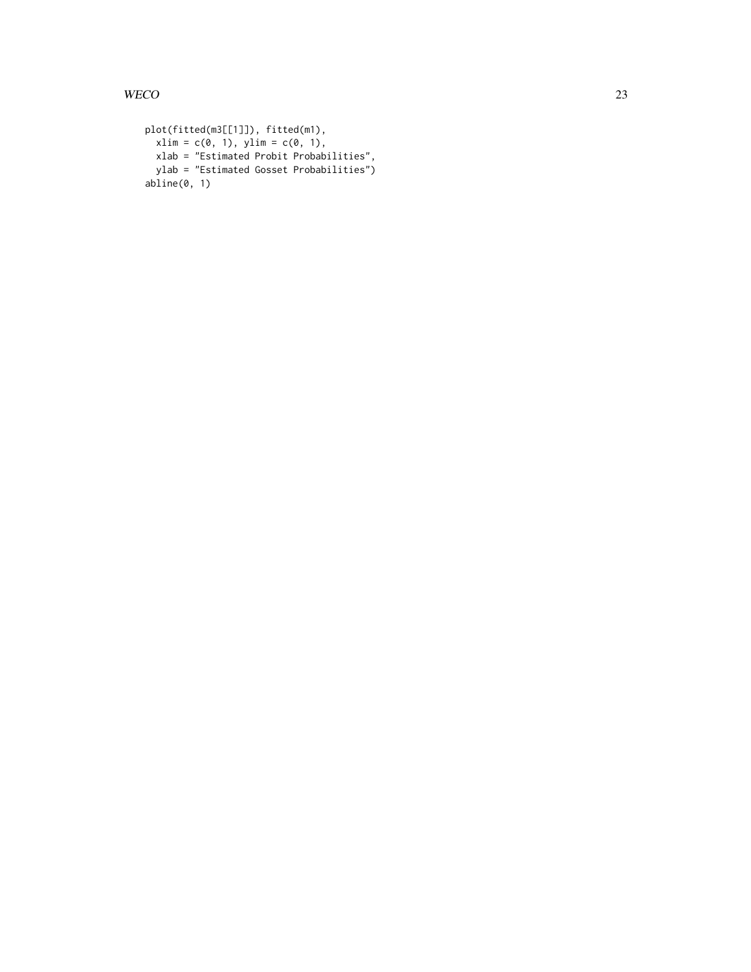```
plot(fitted(m3[[1]]), fitted(m1),
 xlim = c(0, 1), ylim = c(0, 1),xlab = "Estimated Probit Probabilities",
 ylab = "Estimated Gosset Probabilities")
abline(0, 1)
```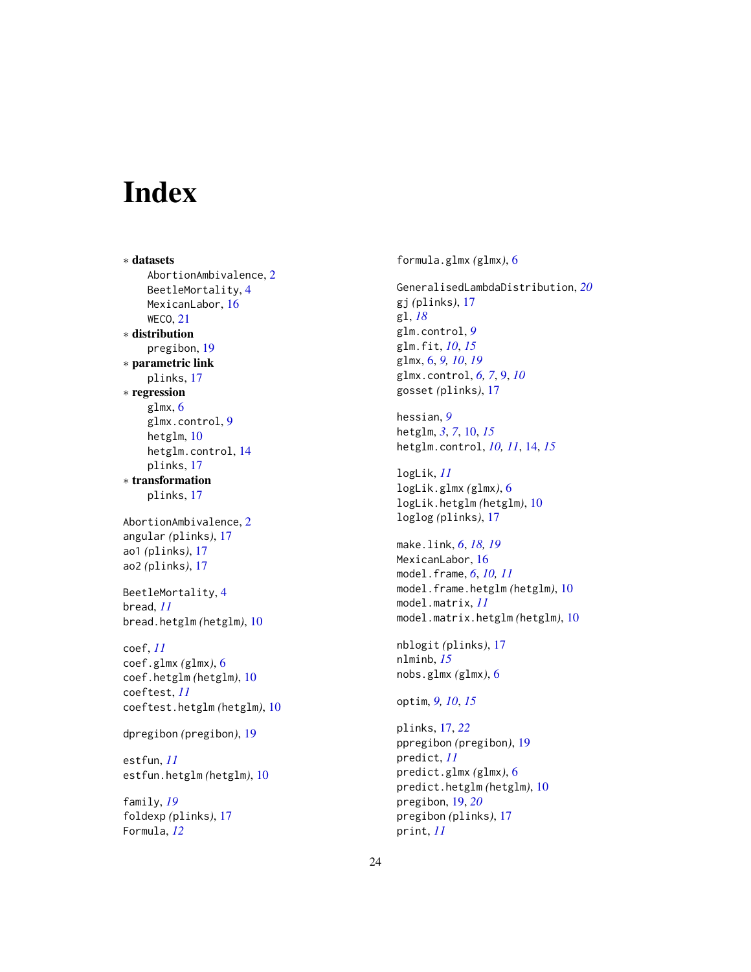# <span id="page-23-0"></span>Index

∗ datasets AbortionAmbivalence, [2](#page-1-0) BeetleMortality, [4](#page-3-0) MexicanLabor, [16](#page-15-0) WECO, [21](#page-20-0) ∗ distribution pregibon, [19](#page-18-0) ∗ parametric link plinks, [17](#page-16-0) ∗ regression glmx, [6](#page-5-0) glmx.control, [9](#page-8-0) hetglm, [10](#page-9-0) hetglm.control, [14](#page-13-0) plinks, [17](#page-16-0) ∗ transformation plinks, [17](#page-16-0) AbortionAmbivalence, [2](#page-1-0) angular *(*plinks*)*, [17](#page-16-0) ao1 *(*plinks*)*, [17](#page-16-0) ao2 *(*plinks*)*, [17](#page-16-0) BeetleMortality, [4](#page-3-0) bread, *[11](#page-10-0)* bread.hetglm *(*hetglm*)*, [10](#page-9-0) coef, *[11](#page-10-0)* coef.glmx *(*glmx*)*, [6](#page-5-0) coef.hetglm *(*hetglm*)*, [10](#page-9-0) coeftest, *[11](#page-10-0)* coeftest.hetglm *(*hetglm*)*, [10](#page-9-0) dpregibon *(*pregibon*)*, [19](#page-18-0) estfun, *[11](#page-10-0)* estfun.hetglm *(*hetglm*)*, [10](#page-9-0) family, *[19](#page-18-0)* foldexp *(*plinks*)*, [17](#page-16-0) Formula, *[12](#page-11-0)*

formula.glmx *(*glmx*)*, [6](#page-5-0)

GeneralisedLambdaDistribution, *[20](#page-19-0)* gj *(*plinks*)*, [17](#page-16-0) gl, *[18](#page-17-0)* glm.control, *[9](#page-8-0)* glm.fit, *[10](#page-9-0)*, *[15](#page-14-0)* glmx, [6,](#page-5-0) *[9,](#page-8-0) [10](#page-9-0)*, *[19](#page-18-0)* glmx.control, *[6,](#page-5-0) [7](#page-6-0)*, [9,](#page-8-0) *[10](#page-9-0)* gosset *(*plinks*)*, [17](#page-16-0)

hessian, *[9](#page-8-0)* hetglm, *[3](#page-2-0)*, *[7](#page-6-0)*, [10,](#page-9-0) *[15](#page-14-0)* hetglm.control, *[10,](#page-9-0) [11](#page-10-0)*, [14,](#page-13-0) *[15](#page-14-0)*

logLik, *[11](#page-10-0)* logLik.glmx *(*glmx*)*, [6](#page-5-0) logLik.hetglm *(*hetglm*)*, [10](#page-9-0) loglog *(*plinks*)*, [17](#page-16-0)

make.link, *[6](#page-5-0)*, *[18,](#page-17-0) [19](#page-18-0)* MexicanLabor, [16](#page-15-0) model.frame, *[6](#page-5-0)*, *[10,](#page-9-0) [11](#page-10-0)* model.frame.hetglm *(*hetglm*)*, [10](#page-9-0) model.matrix, *[11](#page-10-0)* model.matrix.hetglm *(*hetglm*)*, [10](#page-9-0)

nblogit *(*plinks*)*, [17](#page-16-0) nlminb, *[15](#page-14-0)* nobs.glmx *(*glmx*)*, [6](#page-5-0)

optim, *[9,](#page-8-0) [10](#page-9-0)*, *[15](#page-14-0)*

plinks, [17,](#page-16-0) *[22](#page-21-0)* ppregibon *(*pregibon*)*, [19](#page-18-0) predict, *[11](#page-10-0)* predict.glmx *(*glmx*)*, [6](#page-5-0) predict.hetglm *(*hetglm*)*, [10](#page-9-0) pregibon, [19,](#page-18-0) *[20](#page-19-0)* pregibon *(*plinks*)*, [17](#page-16-0) print, *[11](#page-10-0)*